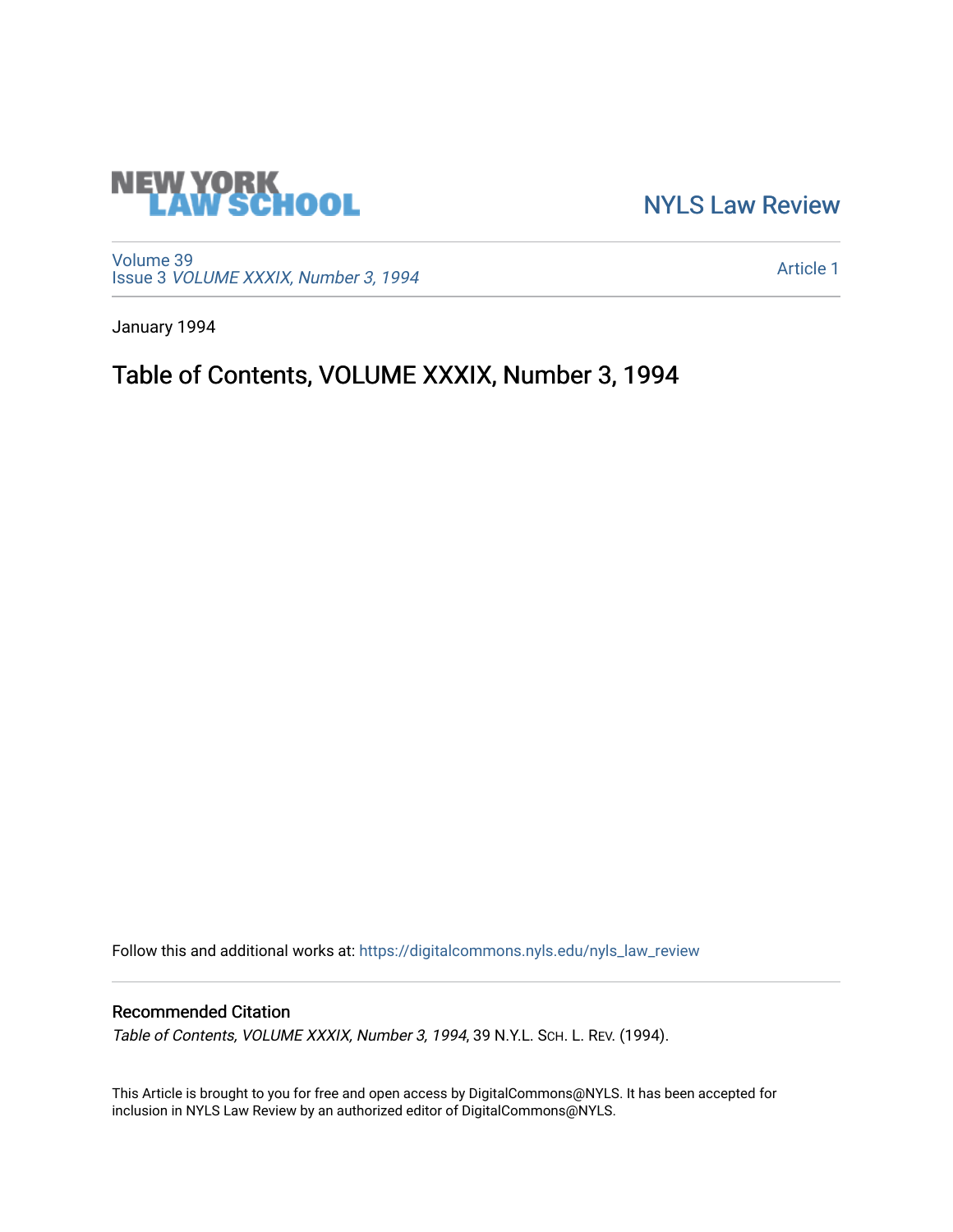

[NYLS Law Review](https://digitalcommons.nyls.edu/nyls_law_review) 

[Volume 39](https://digitalcommons.nyls.edu/nyls_law_review/vol39) Issue 3 [VOLUME XXXIX, Number 3, 1994](https://digitalcommons.nyls.edu/nyls_law_review/vol39/iss3) 

[Article 1](https://digitalcommons.nyls.edu/nyls_law_review/vol39/iss3/1) 

January 1994

Table of Contents, VOLUME XXXIX, Number 3, 1994

Follow this and additional works at: [https://digitalcommons.nyls.edu/nyls\\_law\\_review](https://digitalcommons.nyls.edu/nyls_law_review?utm_source=digitalcommons.nyls.edu%2Fnyls_law_review%2Fvol39%2Fiss3%2F1&utm_medium=PDF&utm_campaign=PDFCoverPages) 

## Recommended Citation

Table of Contents, VOLUME XXXIX, Number 3, 1994, 39 N.Y.L. Sch. L. REV. (1994).

This Article is brought to you for free and open access by DigitalCommons@NYLS. It has been accepted for inclusion in NYLS Law Review by an authorized editor of DigitalCommons@NYLS.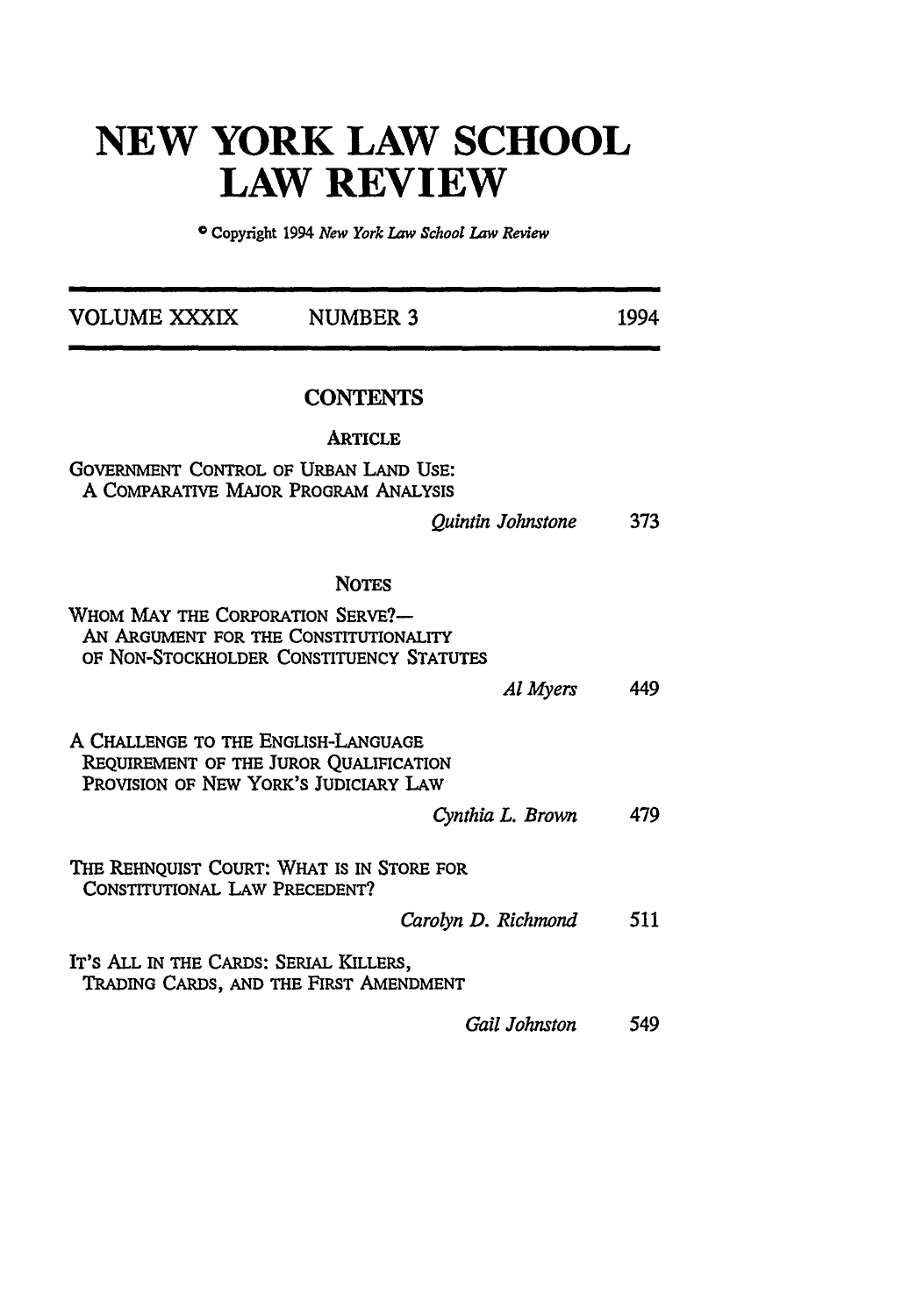## **NEW YORK LAW SCHOOL LAW REVIEW**

© Copyright 1994 *New York Law School Law Review*

| VOLUME XXXIX                                                                                                           | <b>NUMBER 3</b>                          | 1994 |
|------------------------------------------------------------------------------------------------------------------------|------------------------------------------|------|
|                                                                                                                        | <b>CONTENTS</b>                          |      |
|                                                                                                                        | <b>ARTICLE</b>                           |      |
| <b>GOVERNMENT CONTROL OF URBAN LAND USE:</b><br>A COMPARATIVE MAJOR PROGRAM ANALYSIS                                   |                                          |      |
|                                                                                                                        | Quintin Johnstone                        | 373  |
|                                                                                                                        | <b>NOTES</b>                             |      |
| WHOM MAY THE CORPORATION SERVE?-<br>AN ARGUMENT FOR THE CONSTITUTIONALITY                                              | OF NON-STOCKHOLDER CONSTITUENCY STATUTES |      |
|                                                                                                                        | Al Myers                                 | 449  |
| A CHALLENGE TO THE ENGLISH-LANGUAGE<br>REQUIREMENT OF THE JUROR QUALIFICATION<br>PROVISION OF NEW YORK'S JUDICIARY LAW |                                          |      |
|                                                                                                                        | Cynthia L. Brown                         | 479  |
| THE REHNQUIST COURT: WHAT IS IN STORE FOR<br><b>CONSTITUTIONAL LAW PRECEDENT?</b>                                      |                                          |      |
|                                                                                                                        | Carolyn D. Richmond                      | 511  |
| IT'S ALL IN THE CARDS: SERIAL KILLERS,                                                                                 | TRADING CARDS, AND THE FIRST AMENDMENT   |      |
|                                                                                                                        | Gail Johnston                            | 549  |